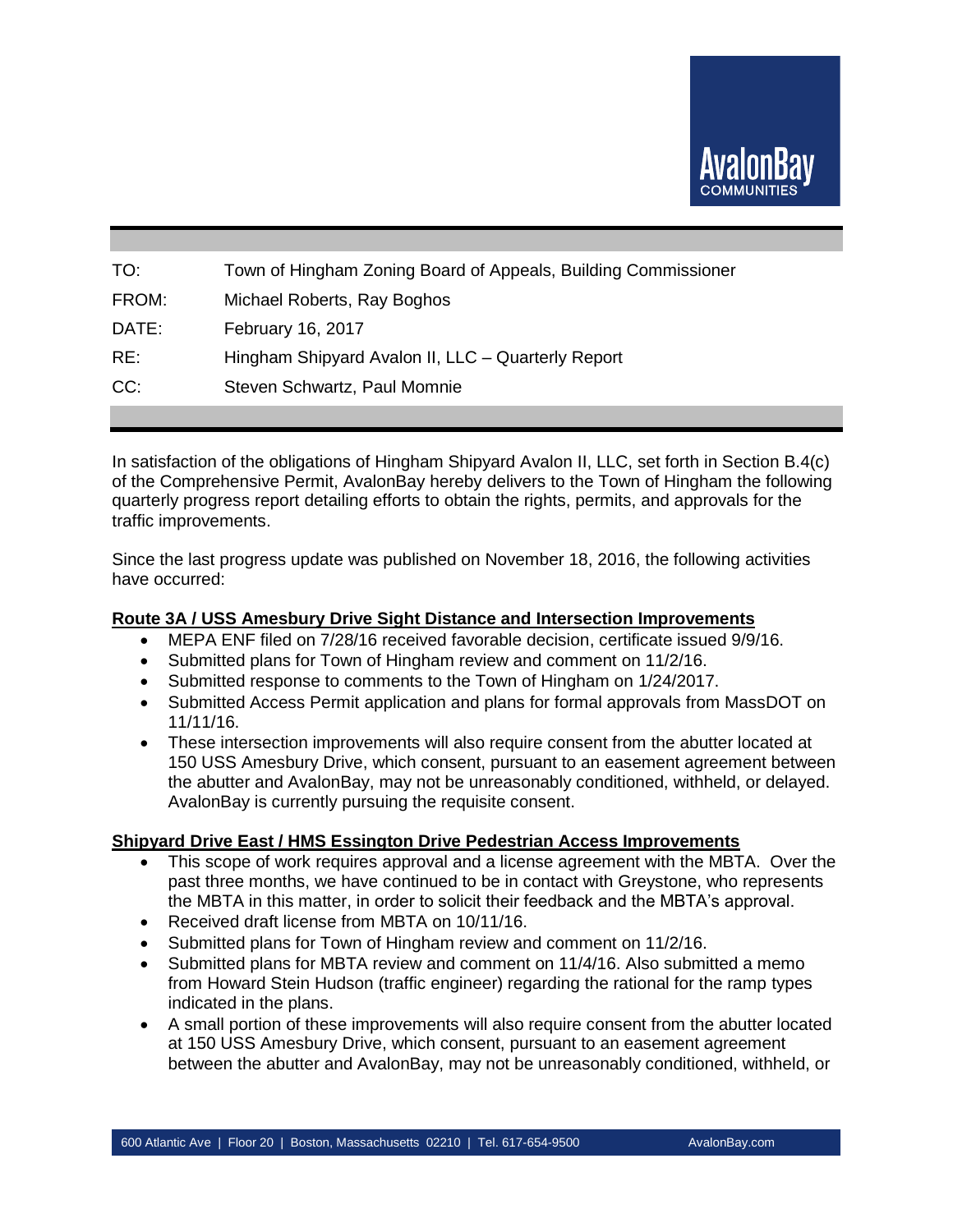

| TO:   | Town of Hingham Zoning Board of Appeals, Building Commissioner |
|-------|----------------------------------------------------------------|
| FROM: | Michael Roberts, Ray Boghos                                    |
| DATE: | February 16, 2017                                              |
| RE:   | Hingham Shipyard Avalon II, LLC - Quarterly Report             |
| CC:   | Steven Schwartz, Paul Momnie                                   |
|       |                                                                |

In satisfaction of the obligations of Hingham Shipyard Avalon II, LLC, set forth in Section B.4(c) of the Comprehensive Permit, AvalonBay hereby delivers to the Town of Hingham the following quarterly progress report detailing efforts to obtain the rights, permits, and approvals for the traffic improvements.

Since the last progress update was published on November 18, 2016, the following activities have occurred:

#### **Route 3A / USS Amesbury Drive Sight Distance and Intersection Improvements**

- MEPA ENF filed on 7/28/16 received favorable decision, certificate issued 9/9/16.
- Submitted plans for Town of Hingham review and comment on 11/2/16.
- Submitted response to comments to the Town of Hingham on 1/24/2017.
- Submitted Access Permit application and plans for formal approvals from MassDOT on 11/11/16.
- These intersection improvements will also require consent from the abutter located at 150 USS Amesbury Drive, which consent, pursuant to an easement agreement between the abutter and AvalonBay, may not be unreasonably conditioned, withheld, or delayed. AvalonBay is currently pursuing the requisite consent.

# **Shipyard Drive East / HMS Essington Drive Pedestrian Access Improvements**

- This scope of work requires approval and a license agreement with the MBTA. Over the past three months, we have continued to be in contact with Greystone, who represents the MBTA in this matter, in order to solicit their feedback and the MBTA's approval.
- Received draft license from MBTA on 10/11/16.
- Submitted plans for Town of Hingham review and comment on 11/2/16.
- Submitted plans for MBTA review and comment on 11/4/16. Also submitted a memo from Howard Stein Hudson (traffic engineer) regarding the rational for the ramp types indicated in the plans.
- A small portion of these improvements will also require consent from the abutter located at 150 USS Amesbury Drive, which consent, pursuant to an easement agreement between the abutter and AvalonBay, may not be unreasonably conditioned, withheld, or